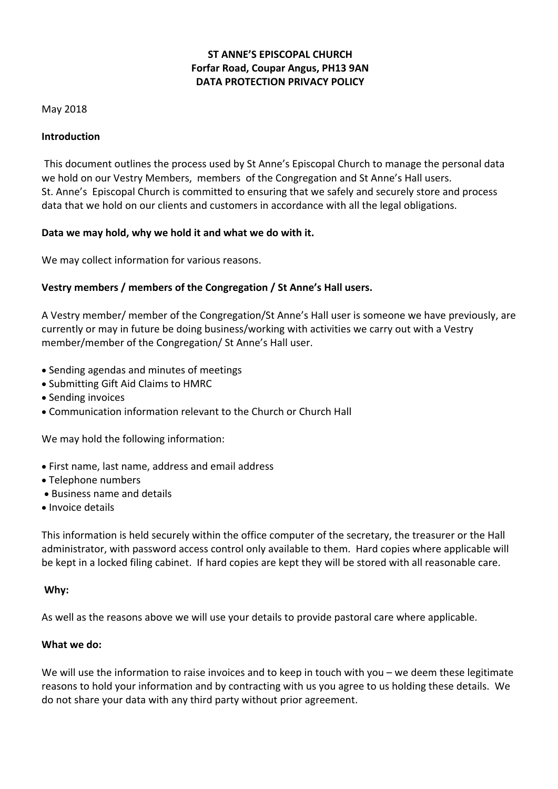# **ST ANNE'S EPISCOPAL CHURCH Forfar Road, Coupar Angus, PH13 9AN DATA PROTECTION PRIVACY POLICY**

## May 2018

## **Introduction**

 This document outlines the process used by St Anne's Episcopal Church to manage the personal data we hold on our Vestry Members, members of the Congregation and St Anne's Hall users. St. Anne's Episcopal Church is committed to ensuring that we safely and securely store and process data that we hold on our clients and customers in accordance with all the legal obligations.

## **Data we may hold, why we hold it and what we do with it.**

We may collect information for various reasons.

## **Vestry members / members of the Congregation / St Anne's Hall users.**

A Vestry member/ member of the Congregation/St Anne's Hall user is someone we have previously, are currently or may in future be doing business/working with activities we carry out with a Vestry member/member of the Congregation/ St Anne's Hall user.

- · Sending agendas and minutes of meetings
- · Submitting Gift Aid Claims to HMRC
- · Sending invoices
- · Communication information relevant to the Church or Church Hall

We may hold the following information:

- · First name, last name, address and email address
- · Telephone numbers
- · Business name and details
- · Invoice details

This information is held securely within the office computer of the secretary, the treasurer or the Hall administrator, with password access control only available to them. Hard copies where applicable will be kept in a locked filing cabinet. If hard copies are kept they will be stored with all reasonable care.

## **Why:**

As well as the reasons above we will use your details to provide pastoral care where applicable.

## **What we do:**

We will use the information to raise invoices and to keep in touch with you – we deem these legitimate reasons to hold your information and by contracting with us you agree to us holding these details. We do not share your data with any third party without prior agreement.